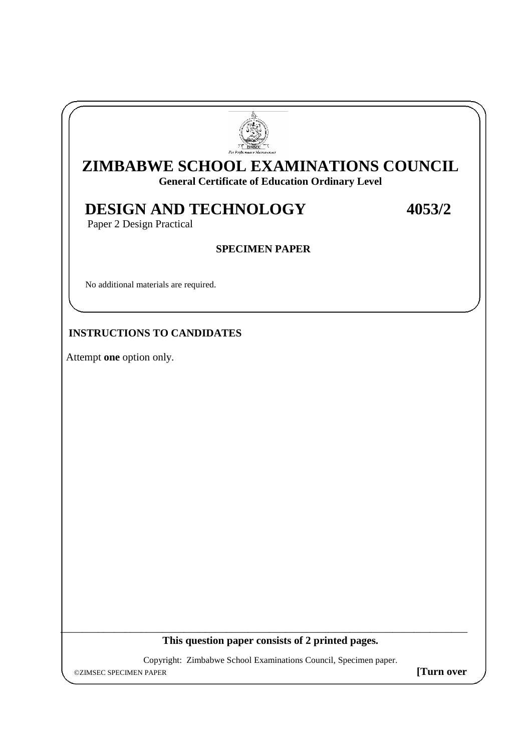

# **ZIMBABWE SCHOOL EXAMINATIONS COUNCIL**

**General Certificate of Education Ordinary Level**

## **DESIGN AND TECHNOLOGY 4053/2**

Paper 2 Design Practical

#### **SPECIMEN PAPER**

No additional materials are required.

### **INSTRUCTIONS TO CANDIDATES**

Attempt **one** option only.

I

**This question paper consists of 2 printed pages.**

\_\_\_\_\_\_\_\_\_\_\_\_\_\_\_\_\_\_\_\_\_\_\_\_\_\_\_\_\_\_\_\_\_\_\_\_\_\_\_\_\_\_\_\_\_\_\_\_\_\_\_\_\_\_\_\_\_\_\_\_\_\_\_\_\_\_\_\_\_\_\_\_\_\_\_\_

Copyright: Zimbabwe School Examinations Council, Specimen paper.

©ZIMSEC SPECIMEN PAPER **[Turn over**